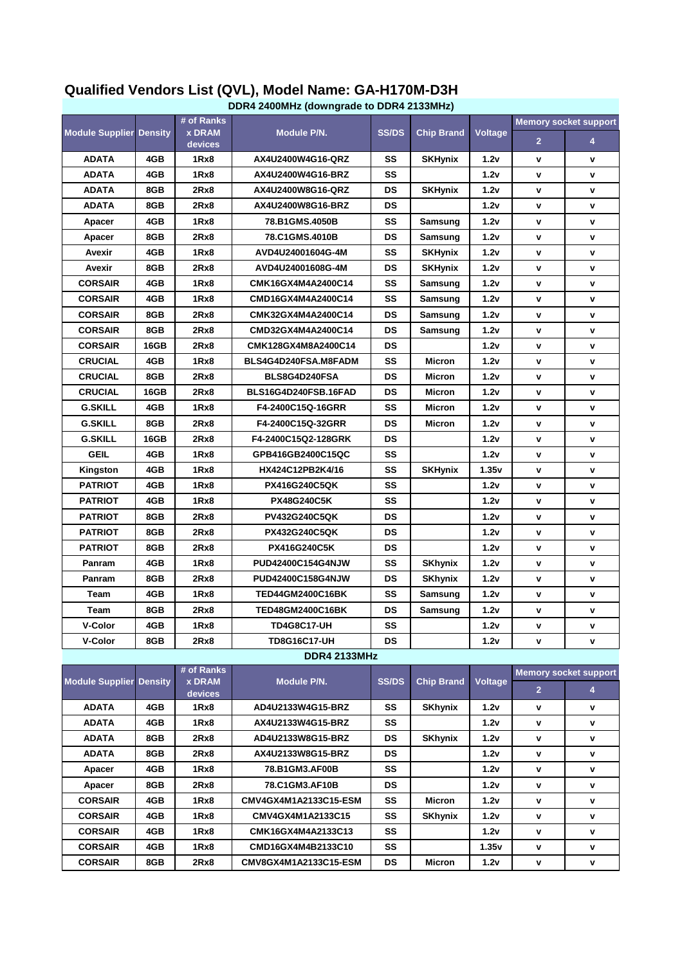|                                |      |                                        | DDR4 2400MHz (downgrade to DDR4 2133MHz) |              |                   |                |                              |                              |
|--------------------------------|------|----------------------------------------|------------------------------------------|--------------|-------------------|----------------|------------------------------|------------------------------|
| <b>Module Supplier Density</b> |      | # of Ranks<br><b>x DRAM</b><br>devices | Module P/N.                              | <b>SS/DS</b> | <b>Chip Brand</b> | <b>Voltage</b> | <b>Memory socket support</b> |                              |
|                                |      |                                        |                                          |              |                   |                | $\overline{2}$               | 4                            |
| <b>ADATA</b>                   | 4GB  | 1Rx8                                   | AX4U2400W4G16-QRZ                        | SS           | <b>SKHynix</b>    | 1.2v           | ۷                            | v                            |
| <b>ADATA</b>                   | 4GB  | 1Rx8                                   | AX4U2400W4G16-BRZ                        | SS           |                   | 1.2v           | v                            | V                            |
| <b>ADATA</b>                   | 8GB  | 2Rx8                                   | AX4U2400W8G16-QRZ                        | DS           | <b>SKHynix</b>    | 1.2v           | V                            | v                            |
| <b>ADATA</b>                   | 8GB  | 2Rx8                                   | AX4U2400W8G16-BRZ                        | DS           |                   | 1.2v           | ۷                            | V                            |
| Apacer                         | 4GB  | 1Rx8                                   | 78.B1GMS.4050B                           | SS           | Samsung           | 1.2v           | v                            | V                            |
| Apacer                         | 8GB  | 2Rx8                                   | 78.C1GMS.4010B                           | DS           | Samsung           | 1.2v           | ۷                            | ٧                            |
| Avexir                         | 4GB  | 1Rx8                                   | AVD4U24001604G-4M                        | SS           | <b>SKHynix</b>    | 1.2v           | ٧                            | V                            |
| Avexir                         | 8GB  | 2Rx8                                   | AVD4U24001608G-4M                        | DS           | <b>SKHynix</b>    | 1.2v           | ۷                            | V                            |
| <b>CORSAIR</b>                 | 4GB  | 1Rx8                                   | CMK16GX4M4A2400C14                       | SS           | Samsung           | 1.2v           | ۷                            | V                            |
| <b>CORSAIR</b>                 | 4GB  | 1Rx8                                   | CMD16GX4M4A2400C14                       | SS           | Samsung           | 1.2v           | V                            | ٧                            |
| <b>CORSAIR</b>                 | 8GB  | 2Rx8                                   | CMK32GX4M4A2400C14                       | DS           | Samsung           | 1.2v           | V                            | V                            |
| <b>CORSAIR</b>                 | 8GB  | 2Rx8                                   | CMD32GX4M4A2400C14                       | DS           | Samsung           | 1.2v           | ۷                            | V                            |
| <b>CORSAIR</b>                 | 16GB | 2Rx8                                   | CMK128GX4M8A2400C14                      | DS           |                   | 1.2v           | ۷                            | v                            |
| <b>CRUCIAL</b>                 | 4GB  | 1Rx8                                   | BLS4G4D240FSA.M8FADM                     | SS           | <b>Micron</b>     | 1.2v           | V                            | v                            |
| <b>CRUCIAL</b>                 | 8GB  | 2Rx8                                   | BLS8G4D240FSA                            | DS           | <b>Micron</b>     | 1.2v           | ٧                            | v                            |
| <b>CRUCIAL</b>                 | 16GB | 2Rx8                                   | BLS16G4D240FSB.16FAD                     | DS           | Micron            | 1.2v           | ۷                            | V                            |
| <b>G.SKILL</b>                 | 4GB  | 1Rx8                                   | F4-2400C15Q-16GRR                        | SS           | <b>Micron</b>     | 1.2v           | V                            | V                            |
| <b>G.SKILL</b>                 | 8GB  | 2Rx8                                   | F4-2400C15Q-32GRR                        | DS           | Micron            | 1.2v           | V                            | V                            |
| <b>G.SKILL</b>                 | 16GB | 2Rx8                                   | F4-2400C15Q2-128GRK                      | DS           |                   | 1.2v           | v                            | v                            |
| <b>GEIL</b>                    | 4GB  | 1Rx8                                   | GPB416GB2400C15QC                        | SS           |                   | 1.2v           | V                            | V                            |
| Kingston                       | 4GB  | 1Rx8                                   | HX424C12PB2K4/16                         | SS           | <b>SKHynix</b>    | 1.35v          | V                            | V                            |
| <b>PATRIOT</b>                 | 4GB  | 1Rx8                                   | <b>PX416G240C5QK</b>                     | SS           |                   | 1.2v           | ۷                            | v                            |
| <b>PATRIOT</b>                 | 4GB  | 1Rx8                                   | <b>PX48G240C5K</b>                       | SS           |                   | 1.2v           | ۷                            | v                            |
| <b>PATRIOT</b>                 | 8GB  | 2Rx8                                   | <b>PV432G240C5QK</b>                     | DS           |                   | 1.2v           | V                            | V                            |
| <b>PATRIOT</b>                 | 8GB  | 2Rx8                                   | <b>PX432G240C5QK</b>                     | DS           |                   | 1.2v           | v                            | v                            |
| PATRIOT                        | 8GB  | 2Rx8                                   | PX416G240C5K                             | DS           |                   | 1.2v           | V                            | v                            |
| Panram                         | 4GB  | 1Rx8                                   | PUD42400C154G4NJW                        | SS           | <b>SKhynix</b>    | 1.2v           | ۷                            | v                            |
| Panram                         | 8GB  | 2Rx8                                   | PUD42400C158G4NJW                        | DS           | SKhynix           | 1.2v           | ۷                            | V                            |
| Team                           | 4GB  | 1Rx8                                   | <b>TED44GM2400C16BK</b>                  | SS           | Samsung           | 1.2v           | ۷                            | ٧                            |
| Team                           | 8GB  | 2Rx8                                   | <b>TED48GM2400C16BK</b>                  | DS           | Samsung           | 1.2v           | v                            | v                            |
| <b>V-Color</b>                 | 4GB  | 1Rx8                                   | <b>TD4G8C17-UH</b>                       | SS           |                   | 1.2v           | ۷                            | ٧                            |
| <b>V-Color</b>                 | 8GB  | 2Rx8                                   | <b>TD8G16C17-UH</b>                      | <b>DS</b>    |                   | 1.2v           | V                            | V                            |
|                                |      |                                        | <b>DDR4 2133MHz</b>                      |              |                   |                |                              |                              |
| <b>Module Supplier Density</b> |      | # of Ranks<br><b>x DRAM</b>            | Module P/N.                              | <b>SS/DS</b> | <b>Chip Brand</b> | <b>Voltage</b> |                              | <b>Memory socket support</b> |
|                                |      | devices                                |                                          |              |                   |                | 2 <sup>2</sup>               | 4                            |
| <b>ADATA</b>                   | 4GB  | 1Rx8                                   | AD4U2133W4G15-BRZ                        | SS           | <b>SKhynix</b>    | 1.2v           | ۷                            | ٧                            |
| <b>ADATA</b>                   | 4GB  | 1Rx8                                   | AX4U2133W4G15-BRZ                        | SS           |                   | 1.2v           | ۷                            | ٧                            |
| <b>ADATA</b>                   | 8GB  | 2Rx8                                   | AD4U2133W8G15-BRZ                        | DS           | SKhynix           | 1.2v           | V                            | V                            |
| <b>ADATA</b>                   | 8GB  | 2Rx8                                   | AX4U2133W8G15-BRZ                        | DS           |                   | 1.2v           | ۷                            | ٧                            |
| Apacer                         | 4GB  | 1Rx8                                   | 78.B1GM3.AF00B                           | SS           |                   | 1.2v           | ۷                            | ٧                            |
| Apacer                         | 8GB  | 2Rx8                                   | 78.C1GM3.AF10B                           | DS           |                   | 1.2v           | V                            | V                            |
| <b>CORSAIR</b>                 | 4GB  | 1Rx8                                   | CMV4GX4M1A2133C15-ESM                    | SS           | <b>Micron</b>     | 1.2v           | ۷                            | ٧                            |
| <b>CORSAIR</b>                 | 4GB  | 1Rx8                                   | CMV4GX4M1A2133C15                        | SS           | <b>SKhynix</b>    | 1.2v           | V                            | V                            |
| <b>CORSAIR</b>                 | 4GB  | 1Rx8                                   | CMK16GX4M4A2133C13                       | SS           |                   | 1.2v           | ٧                            | ٧                            |
| <b>CORSAIR</b>                 | 4GB  | 1Rx8                                   | CMD16GX4M4B2133C10                       | SS           |                   | 1.35v          | ۷                            | V                            |
| <b>CORSAIR</b>                 | 8GB  | 2Rx8                                   | CMV8GX4M1A2133C15-ESM                    | DS           | <b>Micron</b>     | 1.2v           | V                            | V                            |

## **Qualified Vendors List (QVL), Model Name: GA-H170M-D3H**